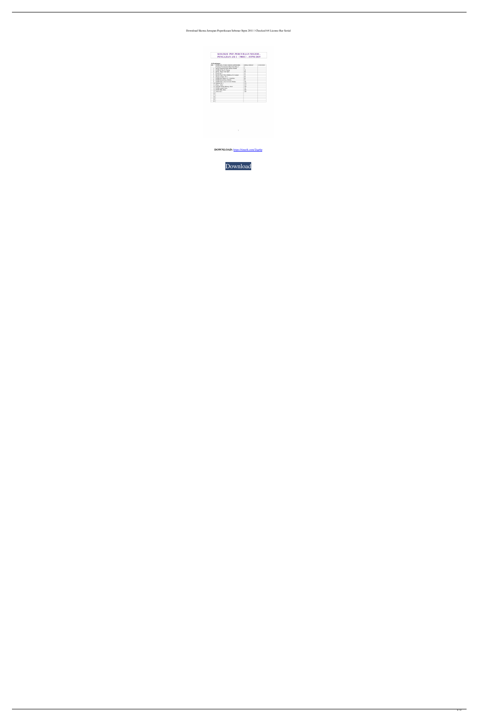## Download Skema Jawapan Peperiksaan Sebenar Stpm 2011 | Checked 64 License Rar Serial

KOLEKSI PEP. PERCUBAAN NEGERI,<br>PENGAJIAN AM 1 (900/1) . STPM 2019

| BIL. | PERKARA (NAMA SEKOLAH/NEGERI)        | <b>MUKA SURAT</b> | <b>CATATAN</b> |
|------|--------------------------------------|-------------------|----------------|
|      | Panduan Permarkahan Bhg B dan Bhg C  | 2                 |                |
| 1.   | Kolej Tingkatan Enam Kulim. Kedah    | 5                 |                |
| 2.   | SMJK Jit Sin, Pi. Pinang             | 18                |                |
| 3.   | Kolej Ting 6 Seri Ipoh               | 30                |                |
| 4.   | Perak Set 1                          | 41                |                |
| 5.   | Koleh Ting 6 Desa Mahkota, K. Lumpur | 53                |                |
| 6.   | Kuala Lumpur. Set 1                  | 69                |                |
| 7.   | SMK Dato Mansor, N. Sembilan         | 80                |                |
| 8.   | SMK Durian Daun, Melaka              | 91                |                |
| 9.   | SMK Infant Jesus Convent Melaka      | 101               |                |
| 10.1 | Melaka Set 1                         | 113               |                |
| 11.1 | Muar, Johor                          | 123               |                |
| 12.1 | Sekolah Tinggi Kluang, Johor         | 138               |                |
| 13.1 | SMK Ledang, Johor                    | 151               |                |
| 14.  | SMK TKB, Johor                       | 165               |                |
| 15.  | Johor Set 1                          | 180               |                |
| 16.  |                                      |                   |                |
| 17.  |                                      |                   |                |
| 18.  |                                      |                   |                |
| 19.  |                                      |                   |                |
| 20.  |                                      |                   |                |

**DOWNLOAD:** <https://tinurli.com/2iqe6p>

 $\mathbf{1} \qquad \qquad \mathbf{1}$